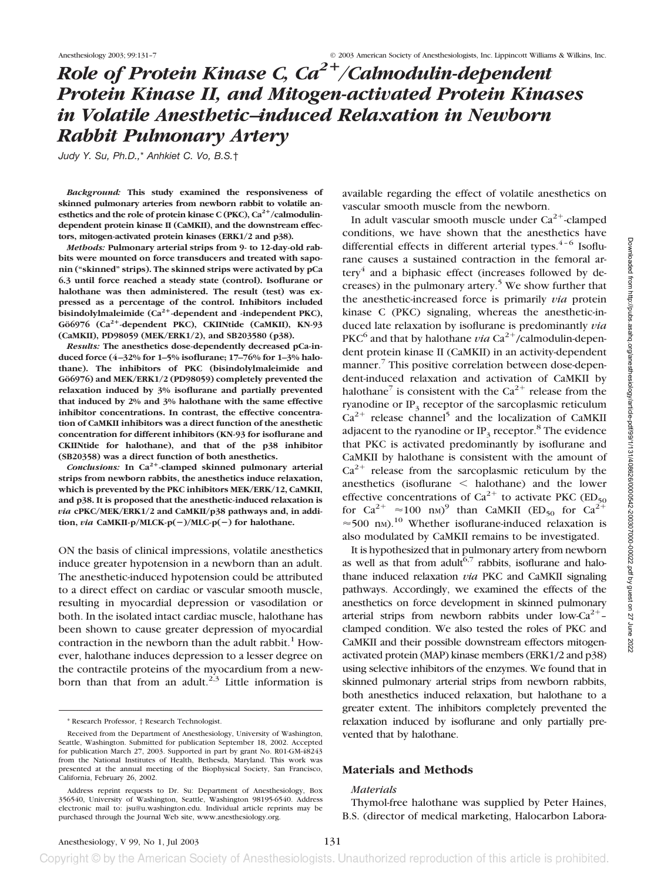# *Role of Protein Kinase C, Ca*<sup>2+</sup>/Calmodulin-dependent *Protein Kinase II, and Mitogen-activated Protein Kinases in Volatile Anesthetic–induced Relaxation in Newborn Rabbit Pulmonary Artery*

*Judy Y. Su, Ph.D.,*\* *Anhkiet C. Vo, B.S.*†

*Background:* **This study examined the responsiveness of skinned pulmonary arteries from newborn rabbit to volatile an**esthetics and the role of protein kinase C (PKC),  $Ca^{2+}/c$ almodulin**dependent protein kinase II (CaMKII), and the downstream effectors, mitogen-activated protein kinases (ERK1/2 and p38).**

*Methods:* **Pulmonary arterial strips from 9- to 12-day-old rabbits were mounted on force transducers and treated with saponin ("skinned" strips). The skinned strips were activated by pCa 6.3 until force reached a steady state (control). Isoflurane or halothane was then administered. The result (test) was expressed as a percentage of the control. Inhibitors included** bisindolylmaleimide (Ca<sup>2+</sup>-dependent and -independent PKC), **Gö6976 (Ca2-dependent PKC), CKIINtide (CaMKII), KN-93 (CaMKII), PD98059 (MEK/ERK1/2), and SB203580 (p38).**

*Results:* **The anesthetics dose-dependently decreased pCa-induced force (4–32% for 1–5% isoflurane; 17–76% for 1–3% halothane). The inhibitors of PKC (bisindolylmaleimide and** Gö6976) and MEK/ERK1/2 (PD98059) completely prevented the **relaxation induced by 3% isoflurane and partially prevented that induced by 2% and 3% halothane with the same effective inhibitor concentrations. In contrast, the effective concentration of CaMKII inhibitors was a direct function of the anesthetic concentration for different inhibitors (KN-93 for isoflurane and CKIINtide for halothane), and that of the p38 inhibitor (SB20358) was a direct function of both anesthetics.**

*Conclusions:* **In Ca2-clamped skinned pulmonary arterial strips from newborn rabbits, the anesthetics induce relaxation, which is prevented by the PKC inhibitors MEK/ERK/12, CaMKII, and p38. It is proposed that the anesthetic-induced relaxation is** *via* **cPKC/MEK/ERK1/2 and CaMKII/p38 pathways and, in addition,** *via* **CaMKII-p/MLCK-p(**-**)/MLC-p(**-**) for halothane.**

ON the basis of clinical impressions, volatile anesthetics induce greater hypotension in a newborn than an adult. The anesthetic-induced hypotension could be attributed to a direct effect on cardiac or vascular smooth muscle, resulting in myocardial depression or vasodilation or both. In the isolated intact cardiac muscle, halothane has been shown to cause greater depression of myocardial contraction in the newborn than the adult rabbit.<sup>1</sup> However, halothane induces depression to a lesser degree on the contractile proteins of the myocardium from a newborn than that from an adult.<sup>2,3</sup> Little information is available regarding the effect of volatile anesthetics on vascular smooth muscle from the newborn.

In adult vascular smooth muscle under  $Ca^{2+}$ -clamped conditions, we have shown that the anesthetics have differential effects in different arterial types. $4-6$  Isoflurane causes a sustained contraction in the femoral artery<sup>4</sup> and a biphasic effect (increases followed by decreases) in the pulmonary artery.<sup>5</sup> We show further that the anesthetic-increased force is primarily *via* protein kinase C (PKC) signaling, whereas the anesthetic-induced late relaxation by isoflurane is predominantly *via* PKC<sup>6</sup> and that by halothane *via*  $Ca^{2+}/c$ almodulin-dependent protein kinase II (CaMKII) in an activity-dependent manner.<sup>7</sup> This positive correlation between dose-dependent-induced relaxation and activation of CaMKII by halothane<sup>7</sup> is consistent with the  $Ca^{2+}$  release from the ryanodine or  $IP_3$  receptor of the sarcoplasmic reticulum  $Ca^{2+}$  release channel<sup>5</sup> and the localization of CaMKII adjacent to the ryanodine or  $IP_3$  receptor.<sup>8</sup> The evidence that PKC is activated predominantly by isoflurane and CaMKII by halothane is consistent with the amount of  $Ca<sup>2+</sup>$  release from the sarcoplasmic reticulum by the anesthetics (isoflurane  $\leq$  halothane) and the lower effective concentrations of  $Ca^{2+}$  to activate PKC (ED<sub>50</sub>) for Ca<sup>2+</sup>  $\approx$ 100 nm)<sup>9</sup> than CaMKII (ED<sub>50</sub> for Ca<sup>2+</sup>  $\approx$  500 nm).<sup>10</sup> Whether isoflurane-induced relaxation is also modulated by CaMKII remains to be investigated.

It is hypothesized that in pulmonary artery from newborn as well as that from adult<sup>6,7</sup> rabbits, isoflurane and halothane induced relaxation *via* PKC and CaMKII signaling pathways. Accordingly, we examined the effects of the anesthetics on force development in skinned pulmonary arterial strips from newborn rabbits under low- $Ca^{2+}$ clamped condition. We also tested the roles of PKC and CaMKII and their possible downstream effectors mitogenactivated protein (MAP) kinase members (ERK1/2 and p38) using selective inhibitors of the enzymes. We found that in skinned pulmonary arterial strips from newborn rabbits, both anesthetics induced relaxation, but halothane to a greater extent. The inhibitors completely prevented the relaxation induced by isoflurane and only partially prevented that by halothane.

## **Materials and Methods**

#### *Materials*

Thymol-free halothane was supplied by Peter Haines, B.S. (director of medical marketing, Halocarbon Labora-

<sup>\*</sup> Research Professor, † Research Technologist.

Received from the Department of Anesthesiology, University of Washington, Seattle, Washington. Submitted for publication September 18, 2002. Accepted for publication March 27, 2003. Supported in part by grant No. R01-GM-48243 from the National Institutes of Health, Bethesda, Maryland. This work was presented at the annual meeting of the Biophysical Society, San Francisco, California, February 26, 2002.

Address reprint requests to Dr. Su: Department of Anesthesiology, Box 356540, University of Washington, Seattle, Washington 98195-6540. Address electronic mail to: jsu@u.washington.edu. Individual article reprints may be purchased through the Journal Web site, www.anesthesiology.org.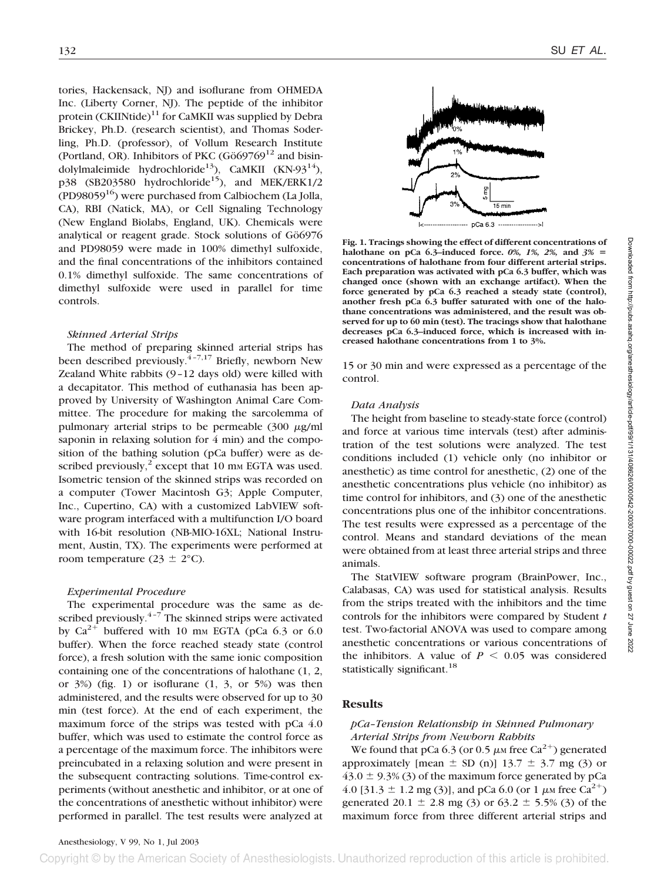tories, Hackensack, NJ) and isoflurane from OHMEDA Inc. (Liberty Corner, NJ). The peptide of the inhibitor protein  $(CKIINtide)^{11}$  for CaMKII was supplied by Debra Brickey, Ph.D. (research scientist), and Thomas Soderling, Ph.D. (professor), of Vollum Research Institute (Portland, OR). Inhibitors of PKC ( $G\ddot{o}69769^{12}$  and bisindolylmaleimide hydrochloride<sup>13</sup>), CaMKII (KN-93<sup>14</sup>),  $p38$  (SB203580 hydrochloride<sup>15</sup>), and MEK/ERK1/2 (PD98059 $^{16}$ ) were purchased from Calbiochem (La Jolla, CA), RBI (Natick, MA), or Cell Signaling Technology (New England Biolabs, England, UK). Chemicals were analytical or reagent grade. Stock solutions of Gö6976 and PD98059 were made in 100% dimethyl sulfoxide, and the final concentrations of the inhibitors contained 0.1% dimethyl sulfoxide. The same concentrations of dimethyl sulfoxide were used in parallel for time controls.

#### *Skinned Arterial Strips*

The method of preparing skinned arterial strips has been described previously.  $4-7,17$  Briefly, newborn New Zealand White rabbits (9–12 days old) were killed with a decapitator. This method of euthanasia has been approved by University of Washington Animal Care Committee. The procedure for making the sarcolemma of pulmonary arterial strips to be permeable  $(300 \mu g/ml)$ saponin in relaxing solution for 4 min) and the composition of the bathing solution (pCa buffer) were as described previously, $^2$  except that 10 mm EGTA was used. Isometric tension of the skinned strips was recorded on a computer (Tower Macintosh G3; Apple Computer, Inc., Cupertino, CA) with a customized LabVIEW software program interfaced with a multifunction I/O board with 16-bit resolution (NB-MIO-16XL; National Instrument, Austin, TX). The experiments were performed at room temperature (23  $\pm$  2°C).

#### *Experimental Procedure*

The experimental procedure was the same as described previously. $4-7$  The skinned strips were activated by  $Ca^{2+}$  buffered with 10 mm EGTA (pCa 6.3 or 6.0) buffer). When the force reached steady state (control force), a fresh solution with the same ionic composition containing one of the concentrations of halothane (1, 2, or  $3\%$ ) (fig. 1) or isoflurane  $(1, 3, 0r, 5\%)$  was then administered, and the results were observed for up to 30 min (test force). At the end of each experiment, the maximum force of the strips was tested with pCa 4.0 buffer, which was used to estimate the control force as a percentage of the maximum force. The inhibitors were preincubated in a relaxing solution and were present in the subsequent contracting solutions. Time-control experiments (without anesthetic and inhibitor, or at one of the concentrations of anesthetic without inhibitor) were performed in parallel. The test results were analyzed at



**Fig. 1. Tracings showing the effect of different concentrations of halothane on pCa 6.3–induced force.** *0%, 1%, 2%,* **and** *3%* **concentrations of halothane from four different arterial strips. Each preparation was activated with pCa 6.3 buffer, which was changed once (shown with an exchange artifact). When the force generated by pCa 6.3 reached a steady state (control), another fresh pCa 6.3 buffer saturated with one of the halothane concentrations was administered, and the result was observed for up to 60 min (test). The tracings show that halothane decreases pCa 6.3–induced force, which is increased with increased halothane concentrations from 1 to 3%.**

15 or 30 min and were expressed as a percentage of the control.

#### *Data Analysis*

The height from baseline to steady-state force (control) and force at various time intervals (test) after administration of the test solutions were analyzed. The test conditions included (1) vehicle only (no inhibitor or anesthetic) as time control for anesthetic, (2) one of the anesthetic concentrations plus vehicle (no inhibitor) as time control for inhibitors, and (3) one of the anesthetic concentrations plus one of the inhibitor concentrations. The test results were expressed as a percentage of the control. Means and standard deviations of the mean were obtained from at least three arterial strips and three animals.

The StatVIEW software program (BrainPower, Inc., Calabasas, CA) was used for statistical analysis. Results from the strips treated with the inhibitors and the time controls for the inhibitors were compared by Student *t* test. Two-factorial ANOVA was used to compare among anesthetic concentrations or various concentrations of the inhibitors. A value of  $P < 0.05$  was considered statistically significant.<sup>18</sup>

## **Results**

## *pCa–Tension Relationship in Skinned Pulmonary Arterial Strips from Newborn Rabbits*

We found that pCa 6.3 (or 0.5  $\mu$ M free Ca<sup>2+</sup>) generated approximately [mean  $\pm$  SD (n)] 13.7  $\pm$  3.7 mg (3) or  $43.0 \pm 9.3\%$  (3) of the maximum force generated by pCa 4.0 [31.3  $\pm$  1.2 mg (3)], and pCa 6.0 (or 1  $\mu$ M free Ca<sup>2+</sup>) generated 20.1  $\pm$  2.8 mg (3) or 63.2  $\pm$  5.5% (3) of the maximum force from three different arterial strips and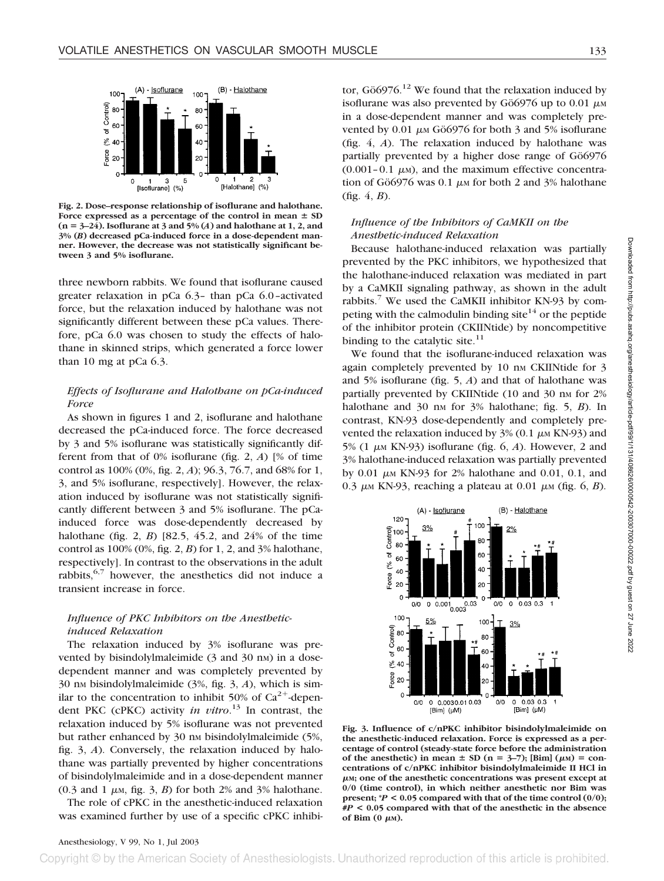

**Fig. 2. Dose–response relationship of isoflurane and halothane.** Force expressed as a percentage of the control in mean  $\pm$  SD  $(n = 3-24)$ . Isoflurane at 3 and 5% (*A*) and halothane at 1, 2, and **3% (***B***) decreased pCa-induced force in a dose-dependent manner. However, the decrease was not statistically significant between 3 and 5% isoflurane.**

three newborn rabbits. We found that isoflurane caused greater relaxation in pCa 6.3– than pCa 6.0–activated force, but the relaxation induced by halothane was not significantly different between these pCa values. Therefore, pCa 6.0 was chosen to study the effects of halothane in skinned strips, which generated a force lower than 10 mg at pCa 6.3.

# *Effects of Isoflurane and Halothane on pCa-induced Force*

As shown in figures 1 and 2, isoflurane and halothane decreased the pCa-induced force. The force decreased by 3 and 5% isoflurane was statistically significantly different from that of 0% isoflurane (fig. 2, *A*) [% of time control as 100% (0%, fig. 2, *A*); 96.3, 76.7, and 68% for 1, 3, and 5% isoflurane, respectively]. However, the relaxation induced by isoflurane was not statistically significantly different between 3 and 5% isoflurane. The pCainduced force was dose-dependently decreased by halothane (fig. 2, *B*) [82.5, 45.2, and 24% of the time control as 100% (0%, fig. 2, *B*) for 1, 2, and 3% halothane, respectively]. In contrast to the observations in the adult rabbits,  $6,7$  however, the anesthetics did not induce a transient increase in force.

## *Influence of PKC Inhibitors on the Anestheticinduced Relaxation*

The relaxation induced by 3% isoflurane was prevented by bisindolylmaleimide (3 and 30 nm) in a dosedependent manner and was completely prevented by 30 nM bisindolylmaleimide (3%, fig. 3, *A*), which is similar to the concentration to inhibit 50% of  $Ca^{2+}$ -dependent PKC (cPKC) activity *in vitro*. <sup>13</sup> In contrast, the relaxation induced by 5% isoflurane was not prevented but rather enhanced by 30 nm bisindolylmaleimide (5%, fig. 3, *A*). Conversely, the relaxation induced by halothane was partially prevented by higher concentrations of bisindolylmaleimide and in a dose-dependent manner  $(0.3 \text{ and } 1 \mu \text{M}, \text{fig. } 3, B)$  for both 2% and 3% halothane.

The role of cPKC in the anesthetic-induced relaxation was examined further by use of a specific cPKC inhibi-

tor,  $G\ddot{o}6976$ <sup>12</sup> We found that the relaxation induced by isoflurane was also prevented by Gö6976 up to 0.01  $\mu$ M in a dose-dependent manner and was completely prevented by 0.01  $\mu$ <sub>M</sub> Gö6976 for both 3 and 5% isoflurane (fig. 4, *A*). The relaxation induced by halothane was partially prevented by a higher dose range of Gö6976  $(0.001-0.1 \mu)$ , and the maximum effective concentration of Gö6976 was 0.1  $\mu$ <sub>M</sub> for both 2 and 3% halothane (fig. 4, *B*).

# *Influence of the Inhibitors of CaMKII on the Anesthetic-induced Relaxation*

Because halothane-induced relaxation was partially prevented by the PKC inhibitors, we hypothesized that the halothane-induced relaxation was mediated in part by a CaMKII signaling pathway, as shown in the adult rabbits.<sup>7</sup> We used the CaMKII inhibitor KN-93 by competing with the calmodulin binding site<sup>14</sup> or the peptide of the inhibitor protein (CKIINtide) by noncompetitive binding to the catalytic site. $11$ 

We found that the isoflurane-induced relaxation was again completely prevented by 10 nm CKIINtide for 3 and 5% isoflurane (fig. 5, *A*) and that of halothane was partially prevented by CKIINtide (10 and 30 nm for 2% halothane and 30 nm for 3% halothane; fig. 5, *B*). In contrast, KN-93 dose-dependently and completely prevented the relaxation induced by  $3\%$  (0.1  $\mu$ M KN-93) and  $5\%$  (1  $\mu$ <sub>M</sub> KN-93) isoflurane (fig. 6, *A*). However, 2 and 3% halothane-induced relaxation was partially prevented by 0.01  $\mu$ <sub>M</sub> KN-93 for 2% halothane and 0.01, 0.1, and 0.3  $\mu$ <sub>M</sub> KN-93, reaching a plateau at 0.01  $\mu$ <sub>M</sub> (fig. 6, *B*).



**Fig. 3. Influence of c/nPKC inhibitor bisindolylmaleimide on the anesthetic-induced relaxation. Force is expressed as a percentage of control (steady-state force before the administration** of the anesthetic) in mean  $\pm$  SD (n = 3–7); [Bim] ( $\mu$ M) = con**centrations of c/nPKC inhibitor bisindolylmaleimide II HCl in M; one of the anesthetic concentrations was present except at 0/0 (time control), in which neither anesthetic nor Bim was present; \****P* **< 0.05 compared with that of the time control (0/0); #***P* **< 0.05 compared with that of the anesthetic in the absence** of  $\text{Bim}$  (0  $\mu$ <sub>M</sub>).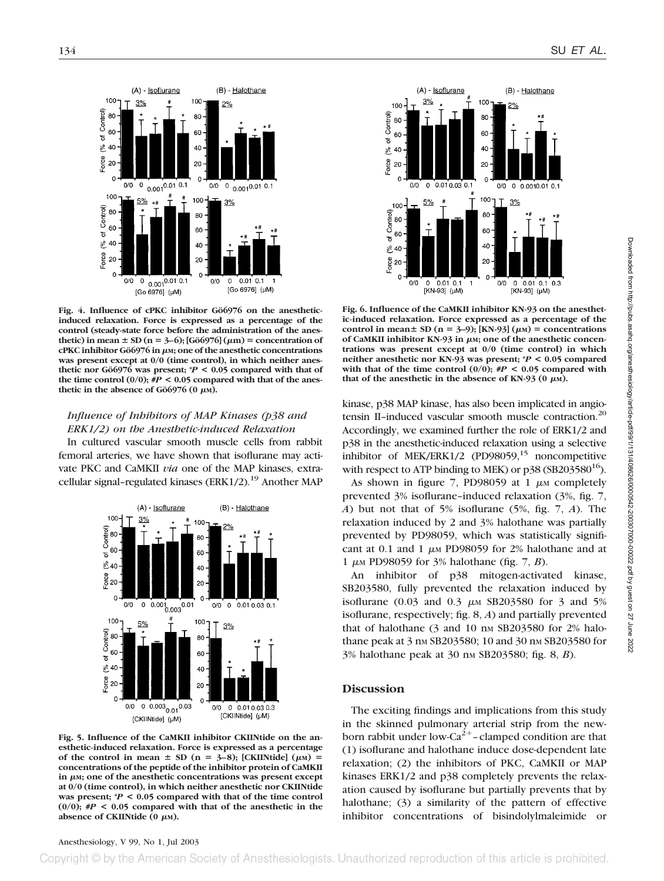

Fig. 4. Influence of cPKC inhibitor Gö6976 on the anesthetic**induced relaxation. Force is expressed as a percentage of the control (steady-state force before the administration of the anesthetic)** in mean  $\pm$  SD (n = 3–6); [Gö6976] ( $\mu$ m) = concentration of **cPKC inhibitor Gö6976 in μm; one of the anesthetic concentrations was present except at 0/0 (time control), in which neither anes**thetic nor Gö6976 was present;  $P < 0.05$  compared with that of the time control  $(0/0)$ ;  $#P < 0.05$  compared with that of the anesthetic in the absence of Gö6976 (0  $\mu$ M).

## *Influence of Inhibitors of MAP Kinases (p38 and ERK1/2) on the Anesthetic-induced Relaxation*

In cultured vascular smooth muscle cells from rabbit femoral arteries, we have shown that isoflurane may activate PKC and CaMKII *via* one of the MAP kinases, extracellular signal-regulated kinases (ERK1/2).<sup>19</sup> Another MAP



**Fig. 5. Influence of the CaMKII inhibitor CKIINtide on the anesthetic-induced relaxation. Force is expressed as a percentage** of the control in mean  $\pm$  SD (n = 3–8); [CKIINtide] ( $\mu$ M) = **concentrations of the peptide of the inhibitor protein of CaMKII** in  $\mu$ <sub>M</sub>; one of the anesthetic concentrations was present except **at 0/0 (time control), in which neither anesthetic nor CKIINtide was present; \****P* **< 0.05 compared with that of the time control (0/0); #***P* **< 0.05 compared with that of the anesthetic in the** absence of CKIINtide  $(0 \mu M)$ .



**Fig. 6. Influence of the CaMKII inhibitor KN-93 on the anesthetic-induced relaxation. Force expressed as a percentage of the control in mean**  $\pm$  SD (n = 3–9); [KN-93] ( $\mu$ M) = concentrations of CaMKII inhibitor KN-93 in μM; one of the anesthetic concen**trations was present except at 0/0 (time control) in which neither anesthetic nor KN-93 was present; \****P* **< 0.05 compared** with that of the time control  $(0/0)$ ;  $\#P < 0.05$  compared with that of the anesthetic in the absence of KN-93  $(0 \mu M)$ .

kinase, p38 MAP kinase, has also been implicated in angiotensin II-induced vascular smooth muscle contraction.<sup>20</sup> Accordingly, we examined further the role of ERK1/2 and p38 in the anesthetic-induced relaxation using a selective inhibitor of MEK/ERK1/2 (PD98059, $15$  noncompetitive with respect to ATP binding to MEK) or  $p38$  (SB203580<sup>16</sup>).

As shown in figure 7, PD98059 at 1  $\mu$ M completely prevented 3% isoflurane–induced relaxation (3%, fig. 7, *A*) but not that of 5% isoflurane (5%, fig. 7, *A*). The relaxation induced by 2 and 3% halothane was partially prevented by PD98059, which was statistically significant at 0.1 and 1  $\mu$ M PD98059 for 2% halothane and at 1  $\mu$ <sub>M</sub> PD98059 for 3% halothane (fig. 7, *B*).

An inhibitor of p38 mitogen-activated kinase, SB203580, fully prevented the relaxation induced by isoflurane (0.03 and 0.3  $\mu$ M SB203580 for 3 and 5% isoflurane, respectively; fig. 8, *A*) and partially prevented that of halothane  $(3 \text{ and } 10 \text{ nm SB}203580 \text{ for } 2\% \text{ halo-}$ thane peak at 3 nm SB203580; 10 and 30 nm SB203580 for 3% halothane peak at 30 nM SB203580; fig. 8, *B*).

## **Discussion**

The exciting findings and implications from this study in the skinned pulmonary arterial strip from the newborn rabbit under low-Ca<sup>2+</sup>-clamped condition are that (1) isoflurane and halothane induce dose-dependent late relaxation; (2) the inhibitors of PKC, CaMKII or MAP kinases ERK1/2 and p38 completely prevents the relaxation caused by isoflurane but partially prevents that by halothane; (3) a similarity of the pattern of effective inhibitor concentrations of bisindolylmaleimide or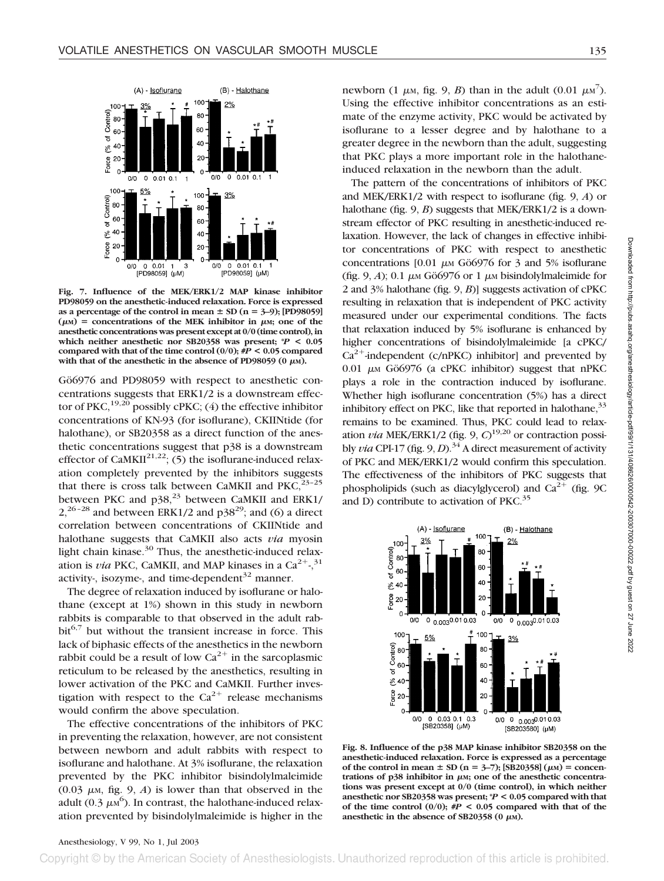

**Fig. 7. Influence of the MEK/ERK1/2 MAP kinase inhibitor PD98059 on the anesthetic-induced relaxation. Force is expressed** as a percentage of the control in mean  $\pm$  SD (n = 3–9); [PD98059]  $(\mu M)$  = concentrations of the MEK inhibitor in  $\mu M$ ; one of the **anesthetic concentrations was present except at 0/0 (time control), in which neither anesthetic nor SB20358 was present; \****P* **< 0.05** compared with that of the time control  $(0/0);$   $\#P < 0.05$  compared with that of the anesthetic in the absence of PD98059 ( $0 \mu$ M).

Gö6976 and PD98059 with respect to anesthetic concentrations suggests that ERK1/2 is a downstream effector of PKC,<sup>19,20</sup> possibly cPKC; (4) the effective inhibitor concentrations of KN-93 (for isoflurane), CKIINtide (for halothane), or SB20358 as a direct function of the anesthetic concentrations suggest that p38 is a downstream effector of CaMKII<sup>21,22</sup>; (5) the isoflurane-induced relaxation completely prevented by the inhibitors suggests that there is cross talk between CaMKII and  $PKC<sub>1</sub><sup>23-25</sup>$ between PKC and  $p38$ ,<sup>23</sup> between CaMKII and ERK1/  $2,^{26-28}$  and between ERK1/2 and p38<sup>29</sup>; and (6) a direct correlation between concentrations of CKIINtide and halothane suggests that CaMKII also acts *via* myosin light chain kinase. $30$  Thus, the anesthetic-induced relaxation is *via* PKC, CaMKII, and MAP kinases in a  $Ca^{2+}$ ,  $31$ activity-, isozyme-, and time-dependent $32$  manner.

The degree of relaxation induced by isoflurane or halothane (except at 1%) shown in this study in newborn rabbits is comparable to that observed in the adult rab $bit<sup>6,7</sup>$  but without the transient increase in force. This lack of biphasic effects of the anesthetics in the newborn rabbit could be a result of low  $Ca^{2+}$  in the sarcoplasmic reticulum to be released by the anesthetics, resulting in lower activation of the PKC and CaMKII. Further investigation with respect to the  $Ca^{2+}$  release mechanisms would confirm the above speculation.

The effective concentrations of the inhibitors of PKC in preventing the relaxation, however, are not consistent between newborn and adult rabbits with respect to isoflurane and halothane. At 3% isoflurane, the relaxation prevented by the PKC inhibitor bisindolylmaleimide  $(0.03 \mu M,$  fig. 9, *A*) is lower than that observed in the adult (0.3  $\mu$ м<sup>6</sup>). In contrast, the halothane-induced relaxation prevented by bisindolylmaleimide is higher in the

newborn (1  $\mu$ M, fig. 9, *B*) than in the adult (0.01  $\mu$ M<sup>7</sup>). Using the effective inhibitor concentrations as an estimate of the enzyme activity, PKC would be activated by isoflurane to a lesser degree and by halothane to a greater degree in the newborn than the adult, suggesting that PKC plays a more important role in the halothaneinduced relaxation in the newborn than the adult.

The pattern of the concentrations of inhibitors of PKC and MEK/ERK1/2 with respect to isoflurane (fig. 9, *A*) or halothane (fig. 9, *B*) suggests that MEK/ERK1/2 is a downstream effector of PKC resulting in anesthetic-induced relaxation. However, the lack of changes in effective inhibitor concentrations of PKC with respect to anesthetic concentrations  $[0.01 \mu \text{m G}06976 \text{ for } 3 \text{ and } 5\% \text{ isof.}$ (fig. 9, *A*); 0.1  $\mu$ M Gö6976 or 1  $\mu$ M bisindolylmaleimide for 2 and 3% halothane (fig. 9, *B*)] suggests activation of cPKC resulting in relaxation that is independent of PKC activity measured under our experimental conditions. The facts that relaxation induced by 5% isoflurane is enhanced by higher concentrations of bisindolylmaleimide [a cPKC/  $Ca^{2+}$ -independent (c/nPKC) inhibitor] and prevented by  $0.01 \mu M$  Gö6976 (a cPKC inhibitor) suggest that nPKC plays a role in the contraction induced by isoflurane. Whether high isoflurane concentration (5%) has a direct inhibitory effect on PKC, like that reported in halothane,  $33$ remains to be examined. Thus, PKC could lead to relaxation *via* MEK/ERK1/2 (fig. 9, *C*) 19,20 or contraction possibly *via* CPI-17 (fig. 9, *D*).<sup>34</sup> A direct measurement of activity of PKC and MEK/ERK1/2 would confirm this speculation. The effectiveness of the inhibitors of PKC suggests that phospholipids (such as diacylglycerol) and  $Ca^{2+}$  (fig. 9C and D) contribute to activation of PKC.<sup>35</sup>



**Fig. 8. Influence of the p38 MAP kinase inhibitor SB20358 on the anesthetic-induced relaxation. Force is expressed as a percentage** of the control in mean  $\pm$  SD (n = 3–7); [SB20358] ( $\mu$ M) = concentrations of p38 inhibitor in μM; one of the anesthetic concentra**tions was present except at 0/0 (time control), in which neither anesthetic nor SB20358 was present; \****P* **< 0.05 compared with that of the time control (0/0); #***P* **< 0.05 compared with that of the** anesthetic in the absence of SB20358 ( $0 \mu$ M).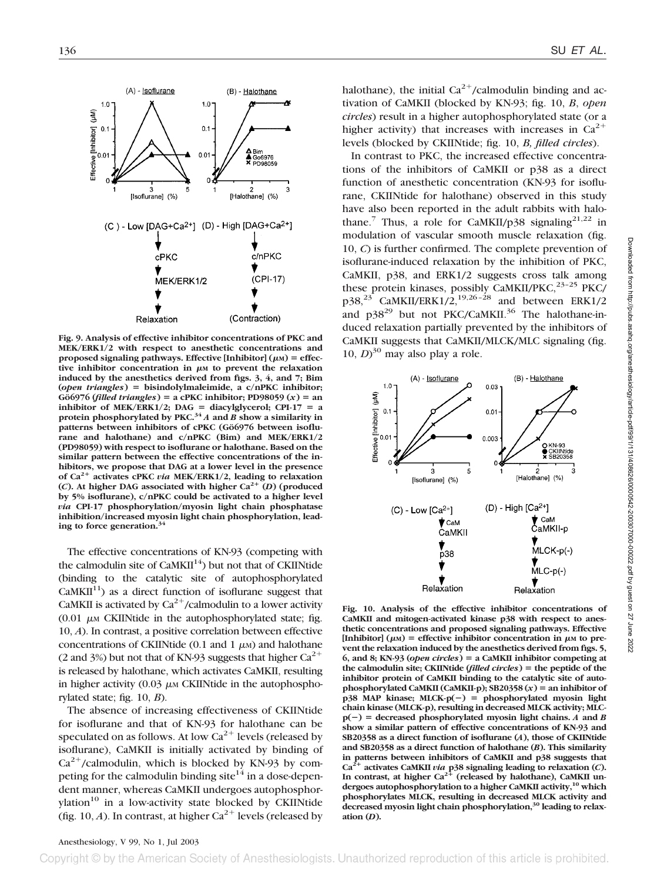

**Fig. 9. Analysis of effective inhibitor concentrations of PKC and MEK/ERK1/2 with respect to anesthetic concentrations and** proposed signaling pathways. Effective [Inhibitor]  $(\mu_M)$  = effective inhibitor concentration in  $\mu$ <sup>M</sup> to prevent the relaxation **induced by the anesthetics derived from figs. 3, 4, and 7; Bim (***open triangles***) bisindolylmaleimide, a c/nPKC inhibitor;**  $G\ddot{\theta}$ 6976 (*filled triangles*) = a cPKC inhibitor; PD98059 (*x*) = an **inhibitor** of MEK/ERK1/2; DAG = diacylglycerol; CPI-17 = a **protein phosphorylated by PKC.<sup>34</sup>** *A* **and** *B* **show a similarity in** patterns between inhibitors of cPKC (Gö6976 between isoflu**rane and halothane) and c/nPKC (Bim) and MEK/ERK1/2 (PD98059) with respect to isoflurane or halothane. Based on the similar pattern between the effective concentrations of the inhibitors, we propose that DAG at a lower level in the presence of Ca2 activates cPKC** *via* **MEK/ERK1/2, leading to relaxation** (*C*). At higher DAG associated with higher  $Ca^{2+}$  (*D*) (produced **by 5% isoflurane), c/nPKC could be activated to a higher level** *via* **CPI-17 phosphorylation/myosin light chain phosphatase inhibition/increased myosin light chain phosphorylation, leading to force generation.34**

The effective concentrations of KN-93 (competing with the calmodulin site of  $CaMKII^{14}$ ) but not that of CKIINtide (binding to the catalytic site of autophosphorylated  $CaMKII<sup>11</sup>$  as a direct function of isoflurane suggest that CaMKII is activated by  $Ca^{2+}/c$ almodulin to a lower activity (0.01  $\mu$ M CKIINtide in the autophosphorylated state; fig. 10, *A*). In contrast, a positive correlation between effective concentrations of CKIINtide (0.1 and 1  $\mu$ M) and halothane (2 and 3%) but not that of KN-93 suggests that higher  $Ca^{2+}$ is released by halothane, which activates CaMKII, resulting in higher activity  $(0.03 \mu \text{M} \text{ CKII} \text{N} \text{tide}$  in the autophosphorylated state; fig. 10, *B*).

The absence of increasing effectiveness of CKIINtide for isoflurane and that of KN-93 for halothane can be speculated on as follows. At low  $Ca^{2+}$  levels (released by isoflurane), CaMKII is initially activated by binding of  $Ca^{2+}/c$ almodulin, which is blocked by KN-93 by competing for the calmodulin binding site<sup> $14$ </sup> in a dose-dependent manner, whereas CaMKII undergoes autophosphorylation $10$  in a low-activity state blocked by CKIINtide (fig. 10, *A*). In contrast, at higher  $Ca^{2+}$  levels (released by halothane), the initial  $Ca^{2+}/c$ almodulin binding and activation of CaMKII (blocked by KN-93; fig. 10, *B*, *open circles*) result in a higher autophosphorylated state (or a higher activity) that increases with increases in  $Ca^{2+}$ levels (blocked by CKIINtide; fig. 10, *B, filled circles*).

In contrast to PKC, the increased effective concentrations of the inhibitors of CaMKII or p38 as a direct function of anesthetic concentration (KN-93 for isoflurane, CKIINtide for halothane) observed in this study have also been reported in the adult rabbits with halothane.<sup>7</sup> Thus, a role for CaMKII/p38 signaling<sup>21,22</sup> in modulation of vascular smooth muscle relaxation (fig. 10, *C*) is further confirmed. The complete prevention of isoflurane-induced relaxation by the inhibition of PKC, CaMKII, p38, and ERK1/2 suggests cross talk among these protein kinases, possibly CaMKII/PKC,  $^{23-25}$  PKC/  $p38,^{23}$  CaMKII/ERK1/2,<sup>19,26-28</sup> and between ERK1/2 and  $p38^{29}$  but not PKC/CaMKII.<sup>36</sup> The halothane-induced relaxation partially prevented by the inhibitors of CaMKII suggests that CaMKII/MLCK/MLC signaling (fig. 10,  $D$ <sup>30</sup> may also play a role.



**Fig. 10. Analysis of the effective inhibitor concentrations of CaMKII and mitogen-activated kinase p38 with respect to anesthetic concentrations and proposed signaling pathways. Effective**  $[Inhibitor] (\mu)$  = effective inhibitor concentration in  $\mu$  to pre**vent the relaxation induced by the anesthetics derived from figs. 5, 6, and 8; KN-93 (***open circles***) a CaMKII inhibitor competing at the calmodulin site; CKIINtide (***filled circles***) the peptide of the inhibitor protein of CaMKII binding to the catalytic site of auto**phosphorylated CaMKII (CaMKII-p);  $SB20358(x) =$  an inhibitor of **p38 MAP kinase; MLCK-p(**-**) phosphorylated myosin light chain kinase (MLCK-p), resulting in decreased MLCK activity; MLC** $p(-)$  = decreased phosphorylated myosin light chains. *A* and *B* **show a similar pattern of effective concentrations of KN-93 and SB20358 as a direct function of isoflurane (***A***), those of CKIINtide and SB20358 as a direct function of halothane (***B***). This similarity** in patterns between inhibitors of CaMKII and p38 suggests that  $Ca<sup>2+</sup>$  activates CaMKII *via* p38 signaling leading to relaxation (*C*). **Ca2 activates CaMKII** *via* **p38 signaling leading to relaxation (***C***).** In contrast, at higher Ca<sup>2+</sup> (released by halothane), CaMKII un**dergoes autophosphorylation to a higher CaMKII activity,10 which phosphorylates MLCK, resulting in decreased MLCK activity and decreased myosin light chain phosphorylation,30 leading to relaxation (***D***).**